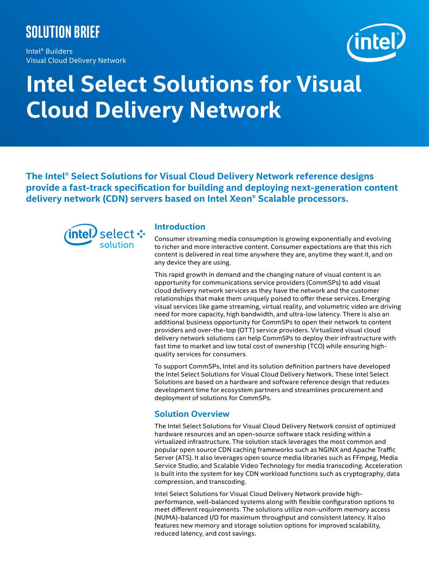# **Solution brief**

Intel® Builders Visual Cloud Delivery Network



# **Intel Select Solutions for Visual Cloud Delivery Network**

**The Intel® Select Solutions for Visual Cloud Delivery Network reference designs provide a fast-track specification for building and deploying next-generation content delivery network (CDN) servers based on Intel Xeon® Scalable processors.**



## **Introduction**

Consumer streaming media consumption is growing exponentially and evolving to richer and more interactive content. Consumer expectations are that this rich content is delivered in real time anywhere they are, anytime they want it, and on any device they are using.

This rapid growth in demand and the changing nature of visual content is an opportunity for communications service providers (CommSPs) to add visual cloud delivery network services as they have the network and the customer relationships that make them uniquely poised to offer these services. Emerging visual services like game streaming, virtual reality, and volumetric video are driving need for more capacity, high bandwidth, and ultra-low latency. There is also an additional business opportunity for CommSPs to open their network to content providers and over-the-top (OTT) service providers. Virtualized visual cloud delivery network solutions can help CommSPs to deploy their infrastructure with fast time to market and low total cost of ownership (TCO) while ensuring highquality services for consumers.

To support CommSPs, Intel and its solution definition partners have developed the Intel Select Solutions for Visual Cloud Delivery Network. These Intel Select Solutions are based on a hardware and software reference design that reduces development time for ecosystem partners and streamlines procurement and deployment of solutions for CommSPs.

# **Solution Overview**

The Intel Select Solutions for Visual Cloud Delivery Network consist of optimized hardware resources and an open-source software stack residing within a virtualized infrastructure. The solution stack leverages the most common and popular open source CDN caching frameworks such as NGINX and Apache Traffic Server (ATS). It also leverages open source media libraries such as FFmpeg, Media Service Studio, and Scalable Video Technology for media transcoding. Acceleration is built into the system for key CDN workload functions such as cryptography, data compression, and transcoding.

Intel Select Solutions for Visual Cloud Delivery Network provide highperformance, well-balanced systems along with flexible configuration options to meet different requirements. The solutions utilize non-uniform memory access (NUMA)-balanced I/O for maximum throughput and consistent latency. It also features new memory and storage solution options for improved scalability, reduced latency, and cost savings.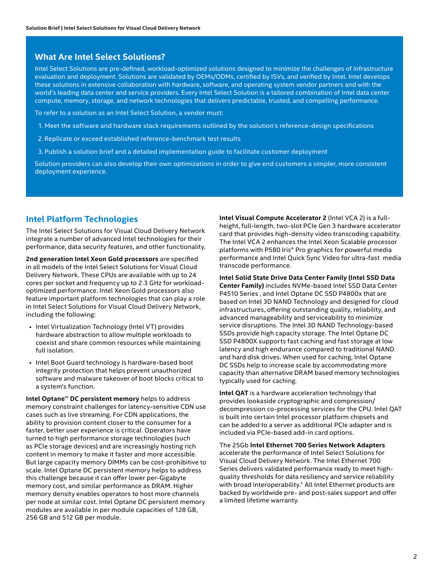### **What Are Intel Select Solutions?**

Intel Select Solutions are pre-defined, workload-optimized solutions designed to minimize the challenges of infrastructure evaluation and deployment. Solutions are validated by OEMs/ODMs, certified by ISVs, and verified by Intel. Intel develops these solutions in extensive collaboration with hardware, software, and operating system vendor partners and with the world's leading data center and service providers. Every Intel Select Solution is a tailored combination of Intel data center compute, memory, storage, and network technologies that delivers predictable, trusted, and compelling performance.

To refer to a solution as an Intel Select Solution, a vendor must:

- 1. Meet the software and hardware stack requirements outlined by the solution's reference-design specifications
- 2. Replicate or exceed established reference-benchmark test results
- 3. Publish a solution brief and a detailed implementation guide to facilitate customer deployment

Solution providers can also develop their own optimizations in order to give end customers a simpler, more consistent deployment experience.

# **Intel Platform Technologies**

The Intel Select Solutions for Visual Cloud Delivery Network integrate a number of advanced Intel technologies for their performance, data security features, and other functionality.

**2nd generation Intel Xeon Gold processors** are specified in all models of the Intel Select Solutions for Visual Cloud Delivery Network. These CPUs are available with up to 24 cores per socket and frequency up to 2.3 GHz for workloadoptimized performance. Intel Xeon Gold processors also feature important platform technologies that can play a role in Intel Select Solutions for Visual Cloud Delivery Network, including the following:

- Intel Virtualization Technology (Intel VT) provides hardware abstraction to allow multiple workloads to coexist and share common resources while maintaining full isolation.
- Intel Boot Guard technology is hardware-based boot integrity protection that helps prevent unauthorized software and malware takeover of boot blocks critical to a system's function.

**Intel Optane™ DC persistent memory** helps to address memory constraint challenges for latency-sensitive CDN use cases such as live streaming. For CDN applications, the ability to provision content closer to the consumer for a faster, better user experience is critical. Operators have turned to high performance storage technologies (such as PCIe storage devices) and are increasingly hosting rich content in memory to make it faster and more accessible. But large capacity memory DIMMs can be cost-prohibitive to scale. Intel Optane DC persistent memory helps to address this challenge because it can offer lower per-Gigabyte memory cost, and similar performance as DRAM. Higher memory density enables operators to host more channels per node at similar cost. Intel Optane DC persistent memory modules are available in per module capacities of 128 GB, 256 GB and 512 GB per module.

**Intel Visual Compute Accelerator 2** (Intel VCA 2) is a fullheight, full-length, two-slot PCIe Gen 3 hardware accelerator card that provides high-density video transcoding capability. The Intel VCA 2 enhances the Intel Xeon Scalable processor platforms with P580 Iris® Pro graphics for powerful media performance and Intel Quick Sync Video for ultra-fast media transcode performance.

**Intel Solid State Drive Data Center Family (Intel SSD Data Center Family)** includes NVMe-based Intel SSD Data Center P4510 Series , and Intel Optane DC SSD P4800x that are based on Intel 3D NAND Technology and designed for cloud infrastructures, offering outstanding quality, reliability, and advanced manageability and serviceability to minimize service disruptions. The Intel 3D NAND Technology-based SSDs provide high capacity storage. The Intel Optane DC SSD P4800X supports fast caching and fast storage at low latency and high endurance compared to traditional NAND and hard disk drives. When used for caching, Intel Optane DC SSDs help to increase scale by accommodating more capacity than alternative DRAM based memory technologies typically used for caching.

**Intel QAT** is a hardware acceleration technology that provides lookaside cryptographic and compression/ decompression co-processing services for the CPU. Intel QAT is built into certain Intel processor platform chipsets and can be added to a server as additional PCIe adapter and is included via PCIe-based add-in card options.

The 25Gb **Intel Ethernet 700 Series Network Adapters**  accelerate the performance of Intel Select Solutions for Visual Cloud Delivery Network. The Intel Ethernet 700 Series delivers validated performance ready to meet highquality thresholds for data resiliency and service reliability with broad interoperability.<sup>1</sup> All Intel Ethernet products are backed by worldwide pre- and post-sales support and offer a limited lifetime warranty.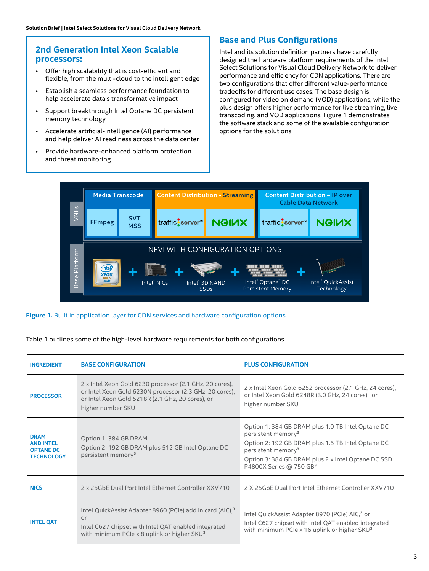# **2nd Generation Intel Xeon Scalable processors:**

- Offer high scalability that is cost-efficient and flexible, from the multi-cloud to the intelligent edge
- Establish a seamless performance foundation to help accelerate data's transformative impact
- Support breakthrough Intel Optane DC persistent memory technology
- Accelerate artificial-intelligence (AI) performance and help deliver AI readiness across the data center
- Provide hardware-enhanced platform protection and threat monitoring

# **Base and Plus Configurations**

Intel and its solution definition partners have carefully designed the hardware platform requirements of the Intel Select Solutions for Visual Cloud Delivery Network to deliver performance and efficiency for CDN applications. There are two configurations that offer different value-performance tradeoffs for different use cases. The base design is configured for video on demand (VOD) applications, while the plus design offers higher performance for live streaming, live transcoding, and VOD applications. Figure 1 demonstrates the software stack and some of the available configuration options for the solutions.



#### **Figure 1.** Built in application layer for CDN services and hardware configuration options.

Table 1 outlines some of the high-level hardware requirements for both configurations.

| <b>INGREDIENT</b>                                                        | <b>BASE CONFIGURATION</b>                                                                                                                                                                             | <b>PLUS CONFIGURATION</b>                                                                                                                                                                                                                                               |
|--------------------------------------------------------------------------|-------------------------------------------------------------------------------------------------------------------------------------------------------------------------------------------------------|-------------------------------------------------------------------------------------------------------------------------------------------------------------------------------------------------------------------------------------------------------------------------|
| <b>PROCESSOR</b>                                                         | 2 x Intel Xeon Gold 6230 processor (2.1 GHz, 20 cores),<br>or Intel Xeon Gold 6230N processor (2.3 GHz, 20 cores),<br>or Intel Xeon Gold 5218R (2.1 GHz, 20 cores), or<br>higher number SKU           | 2 x Intel Xeon Gold 6252 processor (2.1 GHz, 24 cores),<br>or Intel Xeon Gold 6248R (3.0 GHz, 24 cores), or<br>higher number SKU                                                                                                                                        |
| <b>DRAM</b><br><b>AND INTEL</b><br><b>OPTANE DC</b><br><b>TECHNOLOGY</b> | Option 1: 384 GB DRAM<br>Option 2: 192 GB DRAM plus 512 GB Intel Optane DC<br>persistent memory <sup>3</sup>                                                                                          | Option 1: 384 GB DRAM plus 1.0 TB Intel Optane DC<br>persistent memory <sup>3</sup><br>Option 2: 192 GB DRAM plus 1.5 TB Intel Optane DC<br>persistent memory <sup>3</sup><br>Option 3: 384 GB DRAM plus 2 x Intel Optane DC SSD<br>P4800X Series @ 750 GB <sup>3</sup> |
| <b>NICS</b>                                                              | 2 x 25GbF Dual Port Intel Ethernet Controller XXV710                                                                                                                                                  | 2 X 25GbF Dual Port Intel Ethernet Controller XXV710                                                                                                                                                                                                                    |
| <b>INTEL OAT</b>                                                         | Intel QuickAssist Adapter 8960 (PCIe) add in card (AIC), <sup>3</sup><br>or<br>Intel C627 chipset with Intel QAT enabled integrated<br>with minimum PCIe $\times$ 8 uplink or higher SKU <sup>3</sup> | Intel QuickAssist Adapter 8970 (PCIe) AIC, <sup>3</sup> or<br>Intel C627 chipset with Intel QAT enabled integrated<br>with minimum PCIe x 16 uplink or higher SKU <sup>3</sup>                                                                                          |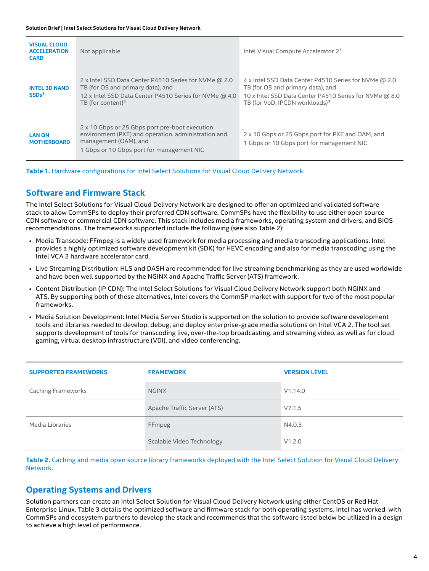| <b>VISUAL CLOUD</b><br><b>ACCELERATION</b><br><b>CARD</b> | Not applicable                                                                                                                                                               | Intel Visual Compute Accelerator 2 <sup>3</sup>                                                                                                                                                    |
|-----------------------------------------------------------|------------------------------------------------------------------------------------------------------------------------------------------------------------------------------|----------------------------------------------------------------------------------------------------------------------------------------------------------------------------------------------------|
| <b>INTEL 3D NAND</b><br>SSDs <sup>2</sup>                 | 2 x Intel SSD Data Center P4510 Series for NVMe @ 2.0<br>TB (for OS and primary data), and<br>12 x Intel SSD Data Center P4510 Series for NVMe @ 4.0<br>TB (for content) $3$ | 4 x Intel SSD Data Center P4510 Series for NVMe @ 2.0<br>TB (for OS and primary data), and<br>10 x Intel SSD Data Center P4510 Series for NVMe @ 8.0<br>TB (for VoD. IPCDN workloads) <sup>3</sup> |
| <b>LAN ON</b><br><b>MOTHERBOARD</b>                       | 2 x 10 Gbps or 25 Gbps port pre-boot execution<br>environment (PXE) and operation, administration and<br>management (OAM), and<br>1 Gbps or 10 Gbps port for management NIC  | 2 x 10 Gbps or 25 Gbps port for PXE and OAM, and<br>1 Gbps or 10 Gbps port for management NIC                                                                                                      |

**Table 1.** Hardware configurations for Intel Select Solutions for Visual Cloud Delivery Network.

# **Software and Firmware Stack**

The Intel Select Solutions for Visual Cloud Delivery Network are designed to offer an optimized and validated software stack to allow CommSPs to deploy their preferred CDN software. CommSPs have the flexibility to use either open source CDN software or commercial CDN software. This stack includes media frameworks, operating system and drivers, and BIOS recommendations. The frameworks supported include the following (see also Table 2):

- Media Transcode: FFmpeg is a widely used framework for media processing and media transcoding applications. Intel provides a highly optimized software development kit (SDK) for HEVC encoding and also for media transcoding using the Intel VCA 2 hardware accelerator card.
- Live Streaming Distribution: HLS and DASH are recommended for live streaming benchmarking as they are used worldwide and have been well supported by the NGINX and Apache Traffic Server (ATS) framework.
- Content Distribution (IP CDN): The Intel Select Solutions for Visual Cloud Delivery Network support both NGINX and ATS. By supporting both of these alternatives, Intel covers the CommSP market with support for two of the most popular frameworks.
- Media Solution Development: Intel Media Server Studio is supported on the solution to provide software development tools and libraries needed to develop, debug, and deploy enterprise-grade media solutions on Intel VCA 2. The tool set supports development of tools for transcoding live, over-the-top broadcasting, and streaming video, as well as for cloud gaming, virtual desktop infrastructure (VDI), and video conferencing.

| <b>SUPPORTED FRAMEWORKS</b> | <b>FRAMEWORK</b>            | <b>VERSION LEVEL</b> |
|-----------------------------|-----------------------------|----------------------|
| <b>Caching Frameworks</b>   | <b>NGINX</b>                | V1.14.0              |
|                             | Apache Traffic Server (ATS) | V7.1.5               |
| Media Libraries             | FFmpeg                      | N4.0.3               |
|                             | Scalable Video Technology   | V1.2.0               |

**Table 2.** Caching and media open source library frameworks deployed with the Intel Select Solution for Visual Cloud Delivery Network.

# **Operating Systems and Drivers**

Solution partners can create an Intel Select Solution for Visual Cloud Delivery Network using either CentOS or Red Hat Enterprise Linux. Table 3 details the optimized software and firmware stack for both operating systems. Intel has worked with CommSPs and ecosystem partners to develop the stack and recommends that the software listed below be utilized in a design to achieve a high level of performance.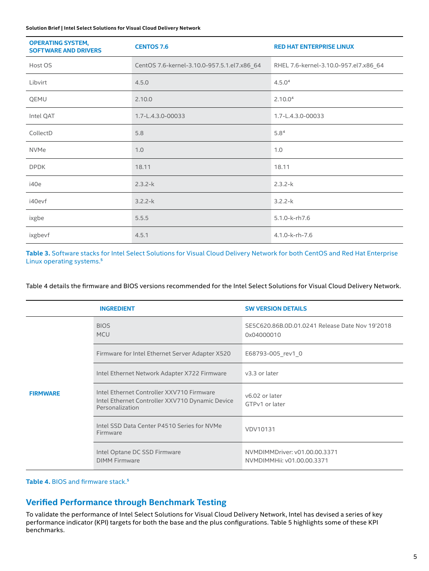#### **Solution Brief | Intel Select Solutions for Visual Cloud Delivery Network**

| <b>OPERATING SYSTEM,</b><br><b>SOFTWARE AND DRIVERS</b> | <b>CENTOS 7.6</b>                           | <b>RED HAT ENTERPRISE LINUX</b>       |
|---------------------------------------------------------|---------------------------------------------|---------------------------------------|
| Host OS                                                 | CentOS 7.6-kernel-3.10.0-957.5.1.el7.x86_64 | RHEL 7.6-kernel-3.10.0-957.el7.x86_64 |
| Libvirt                                                 | 4.5.0                                       | 4.5.0 <sup>4</sup>                    |
| QEMU                                                    | 2.10.0                                      | 2.10.0 <sup>4</sup>                   |
| Intel QAT                                               | 1.7-L.4.3.0-00033                           | 1.7-L.4.3.0-00033                     |
| CollectD                                                | 5.8                                         | 5.8 <sup>4</sup>                      |
| <b>NVMe</b>                                             | 1.0                                         | 1.0                                   |
| <b>DPDK</b>                                             | 18.11                                       | 18.11                                 |
| i40e                                                    | $2.3.2-k$                                   | $2.3.2 - k$                           |
| i40evf                                                  | $3.2.2-k$                                   | $3.2.2 - k$                           |
| ixgbe                                                   | 5.5.5                                       | 5.1.0-k-rh7.6                         |
| ixgbevf                                                 | 4.5.1                                       | 4.1.0-k-rh-7.6                        |

**Table 3.** Software stacks for Intel Select Solutions for Visual Cloud Delivery Network for both CentOS and Red Hat Enterprise Linux operating systems.<sup>5</sup>

Table 4 details the firmware and BIOS versions recommended for the Intel Select Solutions for Visual Cloud Delivery Network.

|                 | <b>INGREDIENT</b>                                                                                               | <b>SW VERSION DETAILS</b>                                     |
|-----------------|-----------------------------------------------------------------------------------------------------------------|---------------------------------------------------------------|
|                 | <b>BIOS</b><br><b>MCU</b>                                                                                       | SE5C620.86B.0D.01.0241 Release Date Nov 19'2018<br>0x04000010 |
|                 | Firmware for Intel Ethernet Server Adapter X520                                                                 | E68793-005 rev1 0                                             |
|                 | Intel Ethernet Network Adapter X722 Firmware                                                                    | v3.3 or later                                                 |
| <b>FIRMWARE</b> | Intel Ethernet Controller XXV710 Firmware<br>Intel Ethernet Controller XXV710 Dynamic Device<br>Personalization | v6.02 or later<br>GTPv1 or later                              |
|                 | Intel SSD Data Center P4510 Series for NVMe<br>Firmware                                                         | VDV10131                                                      |
|                 | Intel Optane DC SSD Firmware<br><b>DIMM Firmware</b>                                                            | NVMDIMMDriver: v01.00.00.3371<br>NVMDIMMHii: v01.00.00.3371   |

Table 4. BIOS and firmware stack.<sup>5</sup>

# **Verified Performance through Benchmark Testing**

To validate the performance of Intel Select Solutions for Visual Cloud Delivery Network, Intel has devised a series of key performance indicator (KPI) targets for both the base and the plus configurations. Table 5 highlights some of these KPI benchmarks.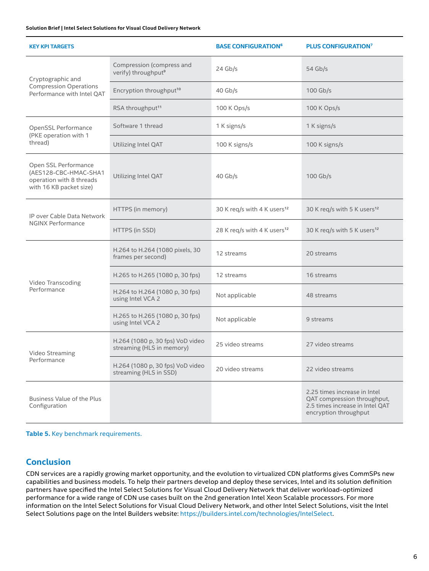#### **Solution Brief | Intel Select Solutions for Visual Cloud Delivery Network**

| <b>KEY KPI TARGETS</b>                                                                               |                                                               | <b>BASE CONFIGURATION<sup>6</sup></b>   | <b>PLUS CONFIGURATION?</b>                                                                                              |
|------------------------------------------------------------------------------------------------------|---------------------------------------------------------------|-----------------------------------------|-------------------------------------------------------------------------------------------------------------------------|
| Cryptographic and<br><b>Compression Operations</b><br>Performance with Intel QAT                     | Compression (compress and<br>verify) throughput <sup>9</sup>  | $24$ Gb/s                               | 54 $Gb/s$                                                                                                               |
|                                                                                                      | Encryption throughput <sup>10</sup>                           | $40$ Gb/s                               | 100 Gb/s                                                                                                                |
|                                                                                                      | RSA throughput <sup>11</sup>                                  | 100 K Ops/s                             | 100 K Ops/s                                                                                                             |
| OpenSSL Performance<br>(PKE operation with 1<br>thread)                                              | Software 1 thread                                             | 1 K signs/s                             | 1 K signs/s                                                                                                             |
|                                                                                                      | Utilizing Intel QAT                                           | 100 K signs/s                           | 100 K signs/s                                                                                                           |
| Open SSL Performance<br>(AES128-CBC-HMAC-SHA1<br>operation with 8 threads<br>with 16 KB packet size) | Utilizing Intel QAT                                           | $40$ Gb/s                               | $100$ Gb/s                                                                                                              |
| IP over Cable Data Network<br><b>NGINX Performance</b>                                               | HTTPS (in memory)                                             | 30 K req/s with 4 K users <sup>12</sup> | 30 K req/s with 5 K users <sup>12</sup>                                                                                 |
|                                                                                                      | HTTPS (in SSD)                                                | 28 K req/s with 4 K users <sup>12</sup> | 30 K req/s with 5 K users <sup>12</sup>                                                                                 |
| Video Transcoding<br>Performance                                                                     | H.264 to H.264 (1080 pixels, 30<br>frames per second)         | 12 streams                              | 20 streams                                                                                                              |
|                                                                                                      | H.265 to H.265 (1080 p, 30 fps)                               | 12 streams                              | 16 streams                                                                                                              |
|                                                                                                      | H.264 to H.264 (1080 p, 30 fps)<br>using Intel VCA 2          | Not applicable                          | 48 streams                                                                                                              |
|                                                                                                      | H.265 to H.265 (1080 p, 30 fps)<br>using Intel VCA 2          | Not applicable                          | 9 streams                                                                                                               |
| Video Streaming<br>Performance                                                                       | H.264 (1080 p, 30 fps) VoD video<br>streaming (HLS in memory) | 25 video streams                        | 27 video streams                                                                                                        |
|                                                                                                      | H.264 (1080 p, 30 fps) VoD video<br>streaming (HLS in SSD)    | 20 video streams                        | 22 video streams                                                                                                        |
| <b>Business Value of the Plus</b><br>Configuration                                                   |                                                               |                                         | 2.25 times increase in Intel<br>QAT compression throughput,<br>2.5 times increase in Intel QAT<br>encryption throughput |

**Table 5.** Key benchmark requirements.

# **Conclusion**

CDN services are a rapidly growing market opportunity, and the evolution to virtualized CDN platforms gives CommSPs new capabilities and business models. To help their partners develop and deploy these services, Intel and its solution definition partners have specified the Intel Select Solutions for Visual Cloud Delivery Network that deliver workload-optimized performance for a wide range of CDN use cases built on the 2nd generation Intel Xeon Scalable processors. For more information on the Intel Select Solutions for Visual Cloud Delivery Network, and other Intel Select Solutions, visit the Intel Select Solutions page on the Intel Builders website: <https://builders.intel.com/technologies/IntelSelect>.